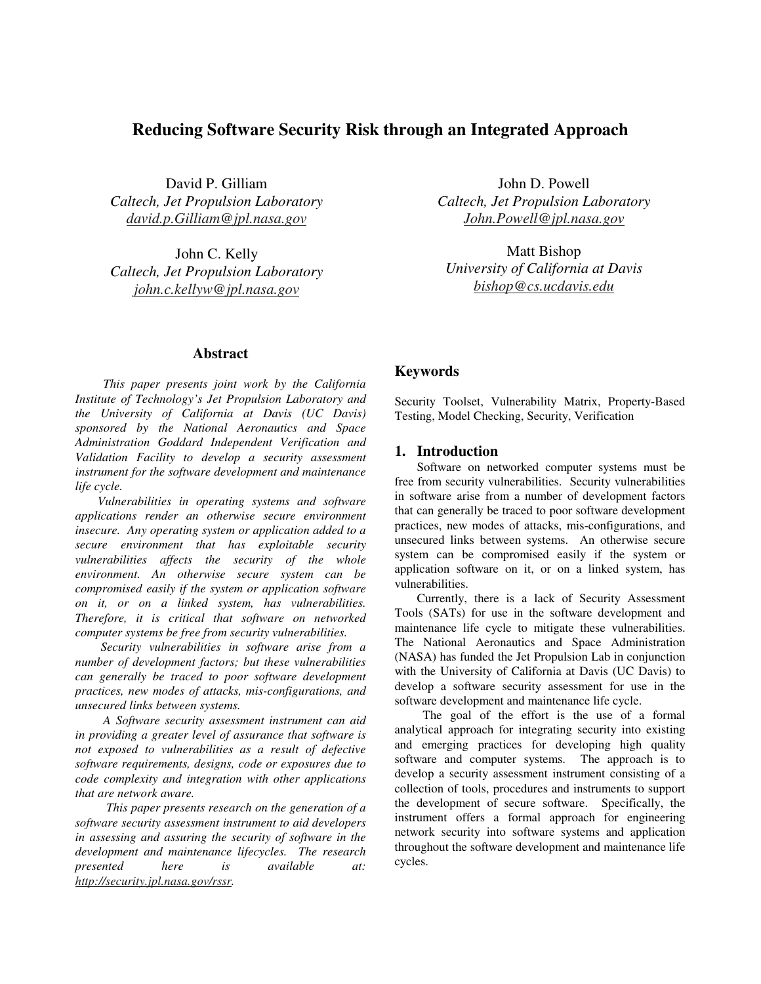# **Reducing Software Security Risk through an Integrated Approach**

David P. Gilliam *Caltech, Jet Propulsion Laboratory david.p.Gilliam@jpl.nasa.gov*

John C. Kelly *Caltech, Jet Propulsion Laboratory john.c.kellyw@jpl.nasa.gov*

#### **Abstract**

*This paper presents joint work by the California Institute of Technology's Jet Propulsion Laboratory and the University of California at Davis (UC Davis) sponsored by the National Aeronautics and Space Administration Goddard Independent Verification and Validation Facility to develop a security assessment instrument for the software development and maintenance life cycle.* 

*Vulnerabilities in operating systems and software applications render an otherwise secure environment insecure. Any operating system or application added to a secure environment that has exploitable security vulnerabilities affects the security of the whole environment. An otherwise secure system can be compromised easily if the system or application software on it, or on a linked system, has vulnerabilities. Therefore, it is critical that software on networked computer systems be free from security vulnerabilities.* 

 *Security vulnerabilities in software arise from a number of development factors; but these vulnerabilities can generally be traced to poor software development practices, new modes of attacks, mis-configurations, and unsecured links between systems.* 

*A Software security assessment instrument can aid in providing a greater level of assurance that software is not exposed to vulnerabilities as a result of defective software requirements, designs, code or exposures due to code complexity and integration with other applications that are network aware.* 

 *This paper presents research on the generation of a software security assessment instrument to aid developers in assessing and assuring the security of software in the development and maintenance lifecycles. The research presented here is available at: http://security.jpl.nasa.gov/rssr.* 

John D. Powell *Caltech, Jet Propulsion Laboratory John.Powell@jpl.nasa.gov*

Matt Bishop *University of California at Davis bishop@cs.ucdavis.edu*

# **Keywords**

Security Toolset, Vulnerability Matrix, Property-Based Testing, Model Checking, Security, Verification

# **1. Introduction**

Software on networked computer systems must be free from security vulnerabilities. Security vulnerabilities in software arise from a number of development factors that can generally be traced to poor software development practices, new modes of attacks, mis-configurations, and unsecured links between systems. An otherwise secure system can be compromised easily if the system or application software on it, or on a linked system, has vulnerabilities.

Currently, there is a lack of Security Assessment Tools (SATs) for use in the software development and maintenance life cycle to mitigate these vulnerabilities. The National Aeronautics and Space Administration (NASA) has funded the Jet Propulsion Lab in conjunction with the University of California at Davis (UC Davis) to develop a software security assessment for use in the software development and maintenance life cycle.

The goal of the effort is the use of a formal analytical approach for integrating security into existing and emerging practices for developing high quality software and computer systems. The approach is to develop a security assessment instrument consisting of a collection of tools, procedures and instruments to support the development of secure software. Specifically, the instrument offers a formal approach for engineering network security into software systems and application throughout the software development and maintenance life cycles.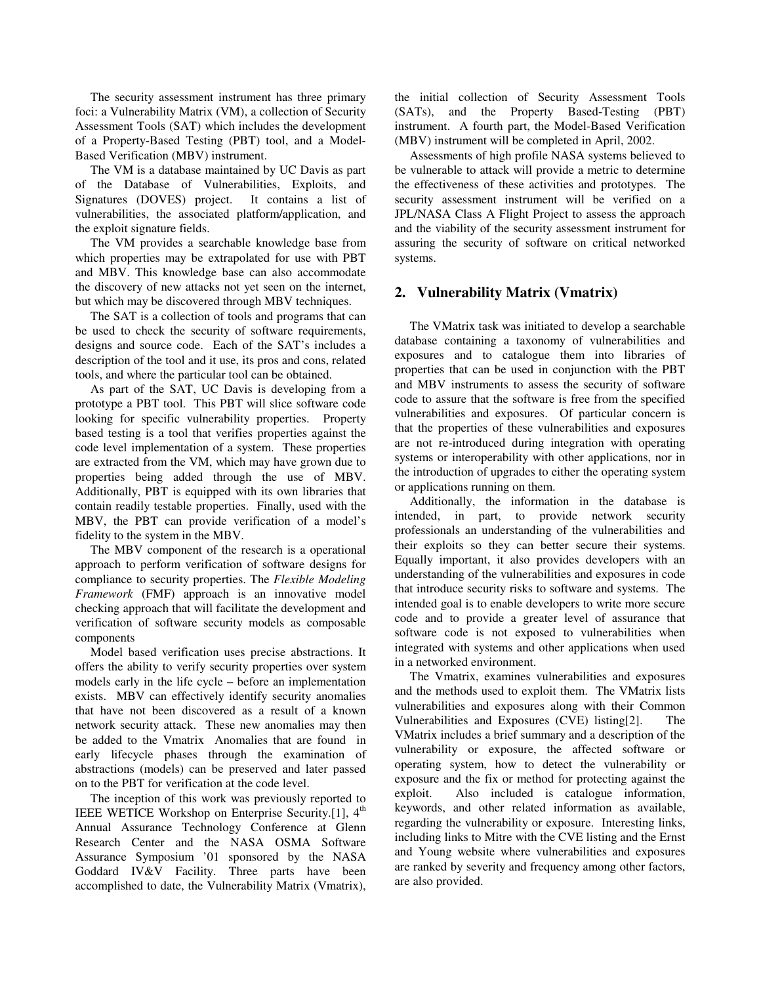The security assessment instrument has three primary foci: a Vulnerability Matrix (VM), a collection of Security Assessment Tools (SAT) which includes the development of a Property-Based Testing (PBT) tool, and a Model-Based Verification (MBV) instrument.

The VM is a database maintained by UC Davis as part of the Database of Vulnerabilities, Exploits, and Signatures (DOVES) project. It contains a list of vulnerabilities, the associated platform/application, and the exploit signature fields.

The VM provides a searchable knowledge base from which properties may be extrapolated for use with PBT and MBV. This knowledge base can also accommodate the discovery of new attacks not yet seen on the internet, but which may be discovered through MBV techniques.

The SAT is a collection of tools and programs that can be used to check the security of software requirements, designs and source code. Each of the SAT's includes a description of the tool and it use, its pros and cons, related tools, and where the particular tool can be obtained.

As part of the SAT, UC Davis is developing from a prototype a PBT tool. This PBT will slice software code looking for specific vulnerability properties. Property based testing is a tool that verifies properties against the code level implementation of a system. These properties are extracted from the VM, which may have grown due to properties being added through the use of MBV. Additionally, PBT is equipped with its own libraries that contain readily testable properties. Finally, used with the MBV, the PBT can provide verification of a model's fidelity to the system in the MBV.

The MBV component of the research is a operational approach to perform verification of software designs for compliance to security properties. The *Flexible Modeling Framework* (FMF) approach is an innovative model checking approach that will facilitate the development and verification of software security models as composable components

Model based verification uses precise abstractions. It offers the ability to verify security properties over system models early in the life cycle – before an implementation exists. MBV can effectively identify security anomalies that have not been discovered as a result of a known network security attack. These new anomalies may then be added to the Vmatrix Anomalies that are found in early lifecycle phases through the examination of abstractions (models) can be preserved and later passed on to the PBT for verification at the code level.

The inception of this work was previously reported to IEEE WETICE Workshop on Enterprise Security.[1],  $4<sup>th</sup>$ Annual Assurance Technology Conference at Glenn Research Center and the NASA OSMA Software Assurance Symposium '01 sponsored by the NASA Goddard IV&V Facility. Three parts have been accomplished to date, the Vulnerability Matrix (Vmatrix), the initial collection of Security Assessment Tools (SATs), and the Property Based-Testing (PBT) instrument. A fourth part, the Model-Based Verification (MBV) instrument will be completed in April, 2002.

Assessments of high profile NASA systems believed to be vulnerable to attack will provide a metric to determine the effectiveness of these activities and prototypes. The security assessment instrument will be verified on a JPL/NASA Class A Flight Project to assess the approach and the viability of the security assessment instrument for assuring the security of software on critical networked systems.

# **2. Vulnerability Matrix (Vmatrix)**

The VMatrix task was initiated to develop a searchable database containing a taxonomy of vulnerabilities and exposures and to catalogue them into libraries of properties that can be used in conjunction with the PBT and MBV instruments to assess the security of software code to assure that the software is free from the specified vulnerabilities and exposures. Of particular concern is that the properties of these vulnerabilities and exposures are not re-introduced during integration with operating systems or interoperability with other applications, nor in the introduction of upgrades to either the operating system or applications running on them.

Additionally, the information in the database is intended, in part, to provide network security professionals an understanding of the vulnerabilities and their exploits so they can better secure their systems. Equally important, it also provides developers with an understanding of the vulnerabilities and exposures in code that introduce security risks to software and systems. The intended goal is to enable developers to write more secure code and to provide a greater level of assurance that software code is not exposed to vulnerabilities when integrated with systems and other applications when used in a networked environment.

The Vmatrix, examines vulnerabilities and exposures and the methods used to exploit them. The VMatrix lists vulnerabilities and exposures along with their Common Vulnerabilities and Exposures (CVE) listing[2]. The VMatrix includes a brief summary and a description of the vulnerability or exposure, the affected software or operating system, how to detect the vulnerability or exposure and the fix or method for protecting against the exploit. Also included is catalogue information, keywords, and other related information as available, regarding the vulnerability or exposure. Interesting links, including links to Mitre with the CVE listing and the Ernst and Young website where vulnerabilities and exposures are ranked by severity and frequency among other factors, are also provided.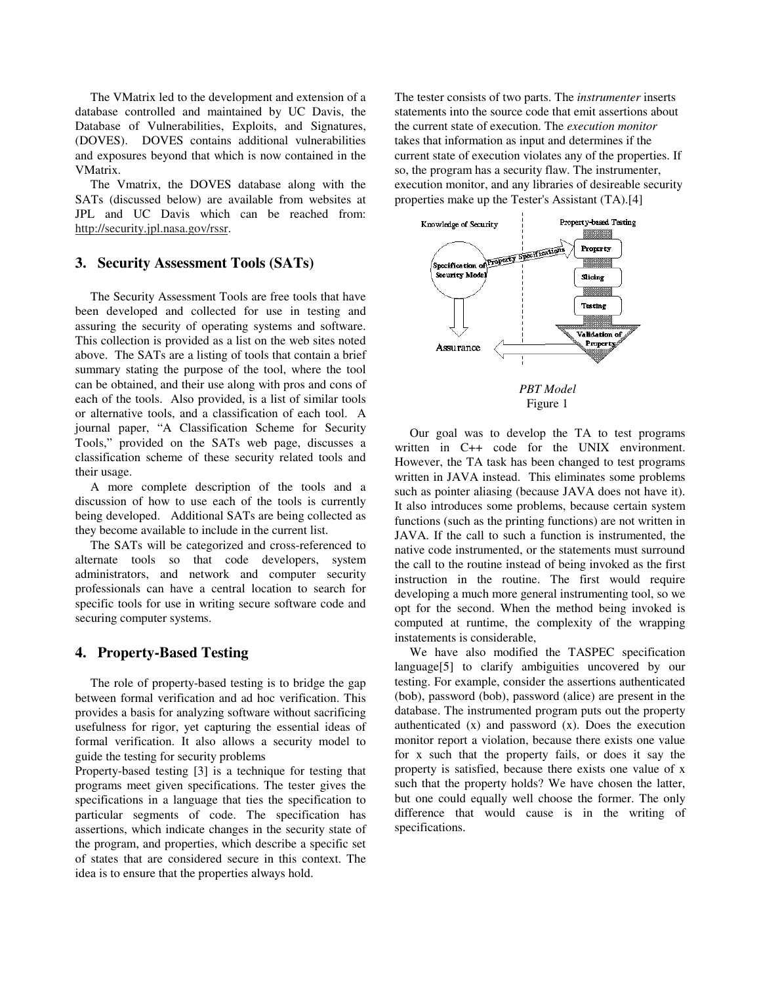The VMatrix led to the development and extension of a database controlled and maintained by UC Davis, the Database of Vulnerabilities, Exploits, and Signatures, (DOVES). DOVES contains additional vulnerabilities and exposures beyond that which is now contained in the VMatrix.

The Vmatrix, the DOVES database along with the SATs (discussed below) are available from websites at JPL and UC Davis which can be reached from: http://security.jpl.nasa.gov/rssr.

### **3. Security Assessment Tools (SATs)**

The Security Assessment Tools are free tools that have been developed and collected for use in testing and assuring the security of operating systems and software. This collection is provided as a list on the web sites noted above. The SATs are a listing of tools that contain a brief summary stating the purpose of the tool, where the tool can be obtained, and their use along with pros and cons of each of the tools. Also provided, is a list of similar tools or alternative tools, and a classification of each tool. A journal paper, "A Classification Scheme for Security Tools," provided on the SATs web page, discusses a classification scheme of these security related tools and their usage.

A more complete description of the tools and a discussion of how to use each of the tools is currently being developed. Additional SATs are being collected as they become available to include in the current list.

The SATs will be categorized and cross-referenced to alternate tools so that code developers, system administrators, and network and computer security professionals can have a central location to search for specific tools for use in writing secure software code and securing computer systems.

#### **4. Property-Based Testing**

The role of property-based testing is to bridge the gap between formal verification and ad hoc verification. This provides a basis for analyzing software without sacrificing usefulness for rigor, yet capturing the essential ideas of formal verification. It also allows a security model to guide the testing for security problems

Property-based testing [3] is a technique for testing that programs meet given specifications. The tester gives the specifications in a language that ties the specification to particular segments of code. The specification has assertions, which indicate changes in the security state of the program, and properties, which describe a specific set of states that are considered secure in this context. The idea is to ensure that the properties always hold.

The tester consists of two parts. The *instrumenter* inserts statements into the source code that emit assertions about the current state of execution. The *execution monitor* takes that information as input and determines if the current state of execution violates any of the properties. If so, the program has a security flaw. The instrumenter, execution monitor, and any libraries of desireable security properties make up the Tester's Assistant (TA).[4]



Our goal was to develop the TA to test programs written in C++ code for the UNIX environment. However, the TA task has been changed to test programs written in JAVA instead. This eliminates some problems such as pointer aliasing (because JAVA does not have it). It also introduces some problems, because certain system functions (such as the printing functions) are not written in JAVA. If the call to such a function is instrumented, the native code instrumented, or the statements must surround the call to the routine instead of being invoked as the first instruction in the routine. The first would require developing a much more general instrumenting tool, so we opt for the second. When the method being invoked is computed at runtime, the complexity of the wrapping instatements is considerable,

We have also modified the TASPEC specification language[5] to clarify ambiguities uncovered by our testing. For example, consider the assertions authenticated (bob), password (bob), password (alice) are present in the database. The instrumented program puts out the property authenticated (x) and password (x). Does the execution monitor report a violation, because there exists one value for x such that the property fails, or does it say the property is satisfied, because there exists one value of x such that the property holds? We have chosen the latter, but one could equally well choose the former. The only difference that would cause is in the writing of specifications.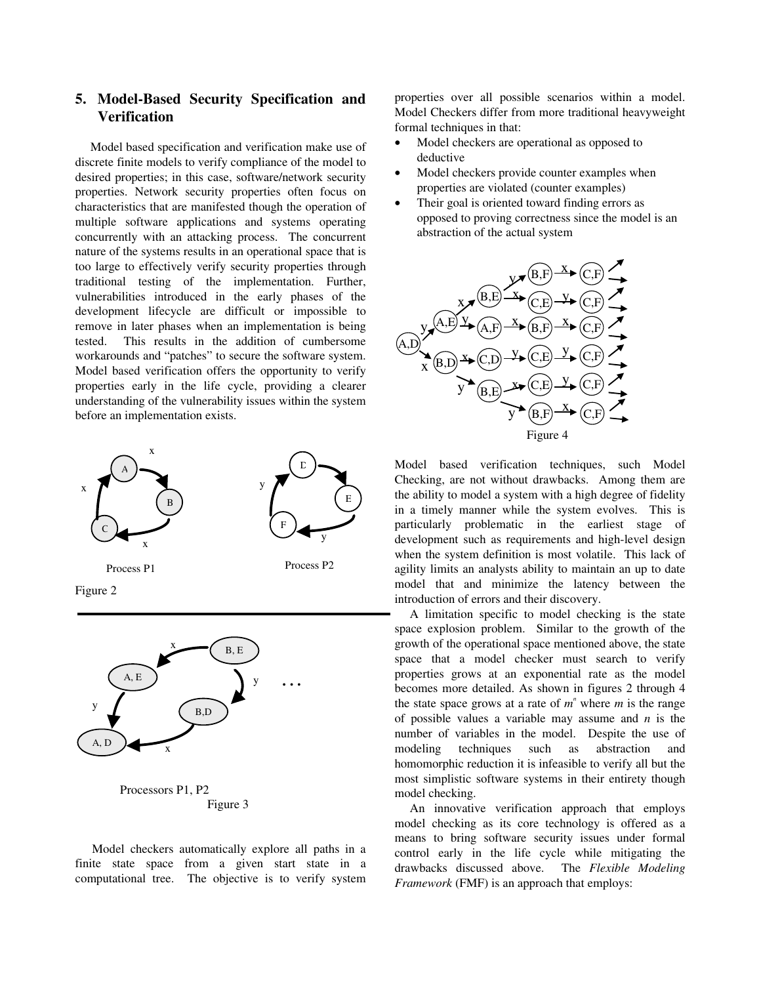# **5. Model-Based Security Specification and Verification**

Model based specification and verification make use of discrete finite models to verify compliance of the model to desired properties; in this case, software/network security properties. Network security properties often focus on characteristics that are manifested though the operation of multiple software applications and systems operating concurrently with an attacking process. The concurrent nature of the systems results in an operational space that is too large to effectively verify security properties through traditional testing of the implementation. Further, vulnerabilities introduced in the early phases of the development lifecycle are difficult or impossible to remove in later phases when an implementation is being tested. This results in the addition of cumbersome workarounds and "patches" to secure the software system. Model based verification offers the opportunity to verify properties early in the life cycle, providing a clearer understanding of the vulnerability issues within the system before an implementation exists.



Figure 2



 Processors P1, P2 Figure 3

Model checkers automatically explore all paths in a finite state space from a given start state in a computational tree. The objective is to verify system properties over all possible scenarios within a model. Model Checkers differ from more traditional heavyweight formal techniques in that:

- Model checkers are operational as opposed to deductive
- Model checkers provide counter examples when properties are violated (counter examples)
- Their goal is oriented toward finding errors as opposed to proving correctness since the model is an abstraction of the actual system



Model based verification techniques, such Model Checking, are not without drawbacks. Among them are the ability to model a system with a high degree of fidelity in a timely manner while the system evolves. This is particularly problematic in the earliest stage of development such as requirements and high-level design when the system definition is most volatile. This lack of agility limits an analysts ability to maintain an up to date model that and minimize the latency between the introduction of errors and their discovery.

A limitation specific to model checking is the state space explosion problem. Similar to the growth of the growth of the operational space mentioned above, the state space that a model checker must search to verify properties grows at an exponential rate as the model becomes more detailed. As shown in figures 2 through 4 the state space grows at a rate of  $m<sup>n</sup>$  where  $m$  is the range of possible values a variable may assume and *n* is the number of variables in the model. Despite the use of modeling techniques such as abstraction and homomorphic reduction it is infeasible to verify all but the most simplistic software systems in their entirety though model checking.

An innovative verification approach that employs model checking as its core technology is offered as a means to bring software security issues under formal control early in the life cycle while mitigating the drawbacks discussed above. The *Flexible Modeling Framework* (FMF) is an approach that employs: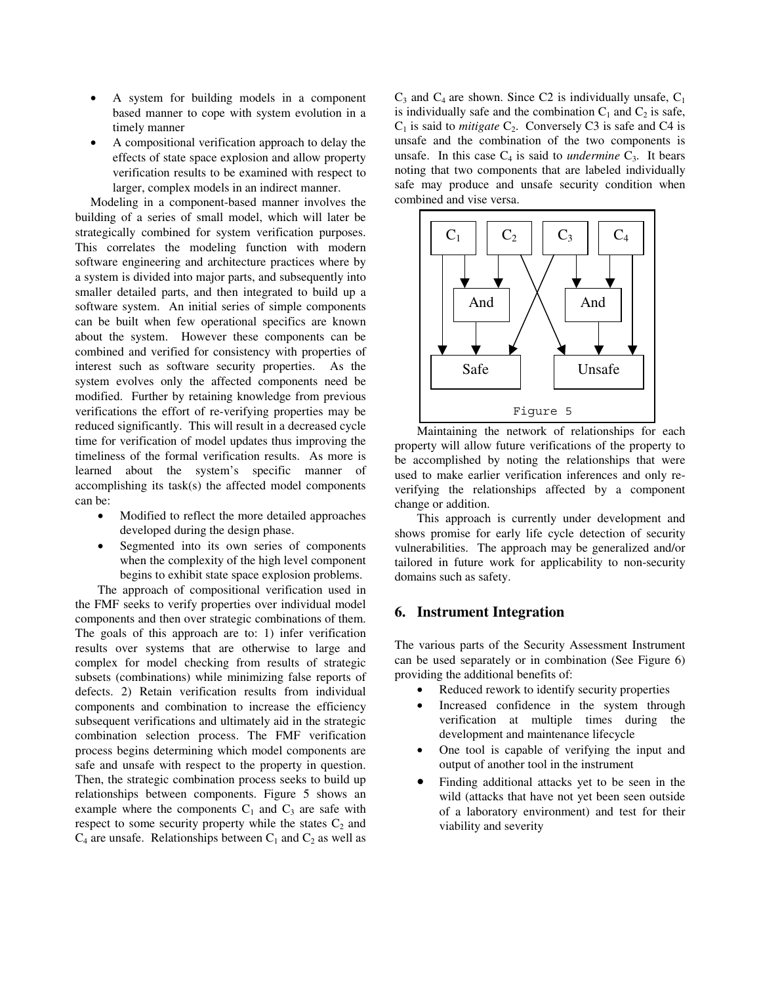- A system for building models in a component based manner to cope with system evolution in a timely manner
- A compositional verification approach to delay the effects of state space explosion and allow property verification results to be examined with respect to larger, complex models in an indirect manner.

Modeling in a component-based manner involves the building of a series of small model, which will later be strategically combined for system verification purposes. This correlates the modeling function with modern software engineering and architecture practices where by a system is divided into major parts, and subsequently into smaller detailed parts, and then integrated to build up a software system. An initial series of simple components can be built when few operational specifics are known about the system. However these components can be combined and verified for consistency with properties of interest such as software security properties. As the system evolves only the affected components need be modified. Further by retaining knowledge from previous verifications the effort of re-verifying properties may be reduced significantly. This will result in a decreased cycle time for verification of model updates thus improving the timeliness of the formal verification results. As more is learned about the system's specific manner of accomplishing its task(s) the affected model components can be:

- Modified to reflect the more detailed approaches developed during the design phase.
- Segmented into its own series of components when the complexity of the high level component begins to exhibit state space explosion problems.

The approach of compositional verification used in the FMF seeks to verify properties over individual model components and then over strategic combinations of them. The goals of this approach are to: 1) infer verification results over systems that are otherwise to large and complex for model checking from results of strategic subsets (combinations) while minimizing false reports of defects. 2) Retain verification results from individual components and combination to increase the efficiency subsequent verifications and ultimately aid in the strategic combination selection process. The FMF verification process begins determining which model components are safe and unsafe with respect to the property in question. Then, the strategic combination process seeks to build up relationships between components. Figure 5 shows an example where the components  $C_1$  and  $C_3$  are safe with respect to some security property while the states  $C_2$  and  $C_4$  are unsafe. Relationships between  $C_1$  and  $C_2$  as well as

 $C_3$  and  $C_4$  are shown. Since C2 is individually unsafe,  $C_1$ is individually safe and the combination  $C_1$  and  $C_2$  is safe,  $C_1$  is said to *mitigate*  $C_2$ . Conversely C3 is safe and C4 is unsafe and the combination of the two components is unsafe. In this case  $C_4$  is said to *undermine*  $C_3$ . It bears noting that two components that are labeled individually safe may produce and unsafe security condition when combined and vise versa.



Maintaining the network of relationships for each property will allow future verifications of the property to be accomplished by noting the relationships that were used to make earlier verification inferences and only reverifying the relationships affected by a component change or addition.

This approach is currently under development and shows promise for early life cycle detection of security vulnerabilities. The approach may be generalized and/or tailored in future work for applicability to non-security domains such as safety.

# **6. Instrument Integration**

The various parts of the Security Assessment Instrument can be used separately or in combination (See Figure 6) providing the additional benefits of:

- Reduced rework to identify security properties
- Increased confidence in the system through verification at multiple times during the development and maintenance lifecycle
- One tool is capable of verifying the input and output of another tool in the instrument
- Finding additional attacks yet to be seen in the wild (attacks that have not yet been seen outside of a laboratory environment) and test for their viability and severity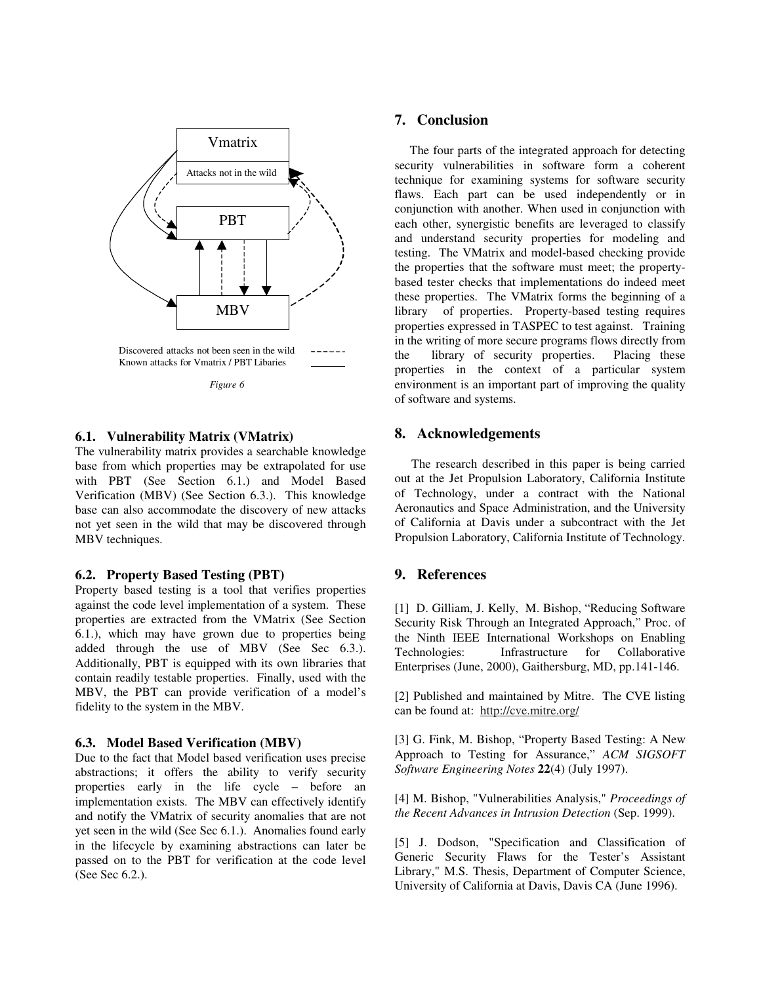

#### **6.1. Vulnerability Matrix (VMatrix)**

The vulnerability matrix provides a searchable knowledge base from which properties may be extrapolated for use with PBT (See Section 6.1.) and Model Based Verification (MBV) (See Section 6.3.). This knowledge base can also accommodate the discovery of new attacks not yet seen in the wild that may be discovered through MBV techniques.

#### **6.2. Property Based Testing (PBT)**

Property based testing is a tool that verifies properties against the code level implementation of a system. These properties are extracted from the VMatrix (See Section 6.1.), which may have grown due to properties being added through the use of MBV (See Sec 6.3.). Additionally, PBT is equipped with its own libraries that contain readily testable properties. Finally, used with the MBV, the PBT can provide verification of a model's fidelity to the system in the MBV.

#### **6.3. Model Based Verification (MBV)**

Due to the fact that Model based verification uses precise abstractions; it offers the ability to verify security properties early in the life cycle – before an implementation exists. The MBV can effectively identify and notify the VMatrix of security anomalies that are not yet seen in the wild (See Sec 6.1.). Anomalies found early in the lifecycle by examining abstractions can later be passed on to the PBT for verification at the code level (See Sec 6.2.).

### **7. Conclusion**

The four parts of the integrated approach for detecting security vulnerabilities in software form a coherent technique for examining systems for software security flaws. Each part can be used independently or in conjunction with another. When used in conjunction with each other, synergistic benefits are leveraged to classify and understand security properties for modeling and testing. The VMatrix and model-based checking provide the properties that the software must meet; the propertybased tester checks that implementations do indeed meet these properties. The VMatrix forms the beginning of a library of properties. Property-based testing requires properties expressed in TASPEC to test against. Training in the writing of more secure programs flows directly from the library of security properties. Placing these properties in the context of a particular system environment is an important part of improving the quality of software and systems.

### **8. Acknowledgements**

The research described in this paper is being carried out at the Jet Propulsion Laboratory, California Institute of Technology, under a contract with the National Aeronautics and Space Administration, and the University of California at Davis under a subcontract with the Jet Propulsion Laboratory, California Institute of Technology.

# **9. References**

[1] D. Gilliam, J. Kelly, M. Bishop, "Reducing Software Security Risk Through an Integrated Approach," Proc. of the Ninth IEEE International Workshops on Enabling Technologies: Infrastructure for Collaborative Enterprises (June, 2000), Gaithersburg, MD, pp.141-146.

[2] Published and maintained by Mitre. The CVE listing can be found at: http://cve.mitre.org/

[3] G. Fink, M. Bishop, "Property Based Testing: A New Approach to Testing for Assurance," *ACM SIGSOFT Software Engineering Notes* **22**(4) (July 1997).

[4] M. Bishop, "Vulnerabilities Analysis," *Proceedings of the Recent Advances in Intrusion Detection* (Sep. 1999).

[5] J. Dodson, "Specification and Classification of Generic Security Flaws for the Tester's Assistant Library," M.S. Thesis, Department of Computer Science, University of California at Davis, Davis CA (June 1996).